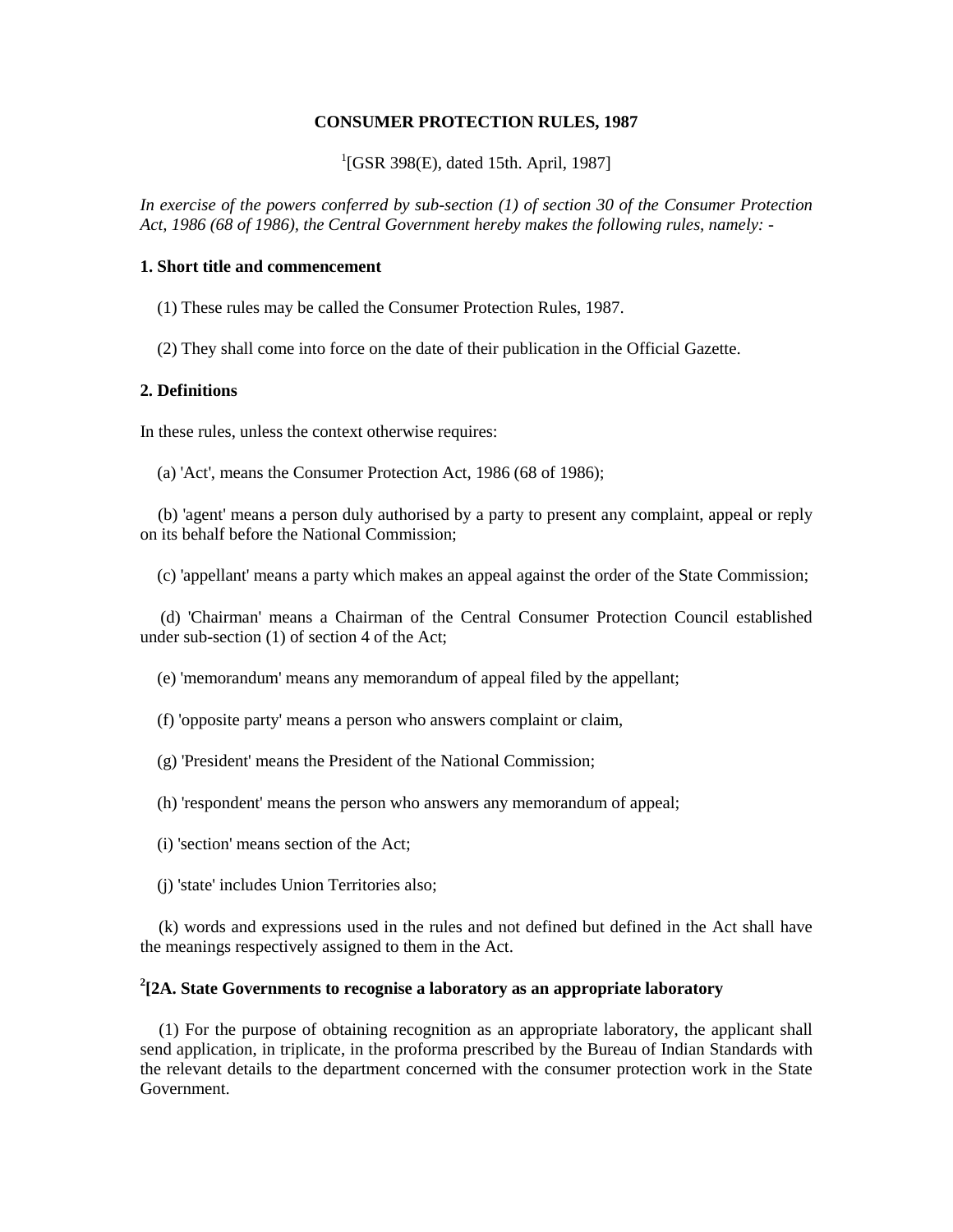#### **CONSUMER PROTECTION RULES, 1987**

<sup>1</sup>[GSR 398(E), dated 15th. April, 1987]

*In exercise of the powers conferred by sub-section (1) of section 30 of the Consumer Protection Act, 1986 (68 of 1986), the Central Government hereby makes the following rules, namely: -*

# **1. Short title and commencement**

(1) These rules may be called the Consumer Protection Rules, 1987.

(2) They shall come into force on the date of their publication in the Official Gazette.

#### **2. Definitions**

In these rules, unless the context otherwise requires:

(a) 'Act', means the Consumer Protection Act, 1986 (68 of 1986);

 (b) 'agent' means a person duly authorised by a party to present any complaint, appeal or reply on its behalf before the National Commission;

(c) 'appellant' means a party which makes an appeal against the order of the State Commission;

 (d) 'Chairman' means a Chairman of the Central Consumer Protection Council established under sub-section (1) of section 4 of the Act;

(e) 'memorandum' means any memorandum of appeal filed by the appellant;

(f) 'opposite party' means a person who answers complaint or claim,

- (g) 'President' means the President of the National Commission;
- (h) 'respondent' means the person who answers any memorandum of appeal;
- (i) 'section' means section of the Act;
- (j) 'state' includes Union Territories also;

 (k) words and expressions used in the rules and not defined but defined in the Act shall have the meanings respectively assigned to them in the Act.

# **2 [2A. State Governments to recognise a laboratory as an appropriate laboratory**

 (1) For the purpose of obtaining recognition as an appropriate laboratory, the applicant shall send application, in triplicate, in the proforma prescribed by the Bureau of Indian Standards with the relevant details to the department concerned with the consumer protection work in the State Government.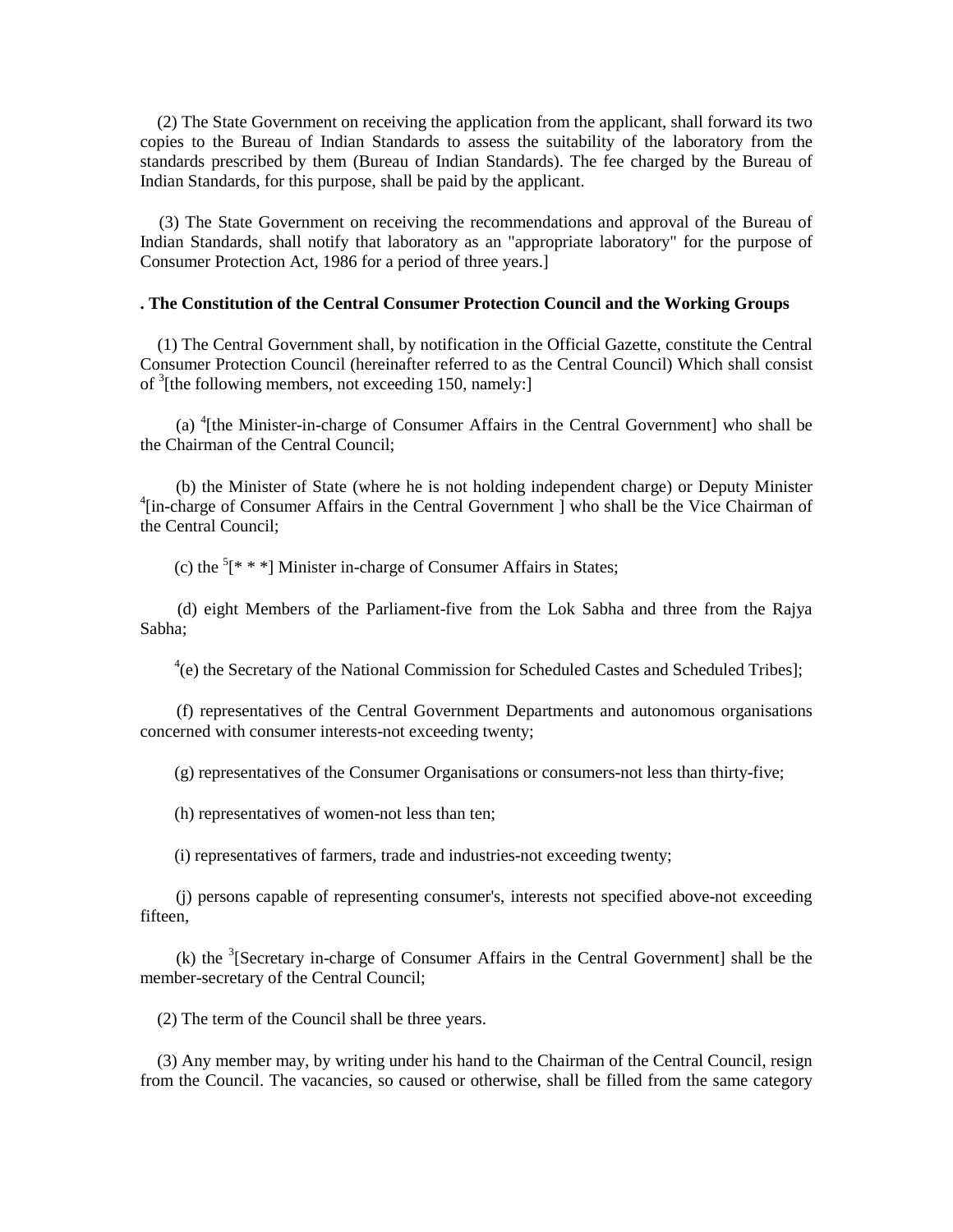(2) The State Government on receiving the application from the applicant, shall forward its two copies to the Bureau of Indian Standards to assess the suitability of the laboratory from the standards prescribed by them (Bureau of Indian Standards). The fee charged by the Bureau of Indian Standards, for this purpose, shall be paid by the applicant.

 (3) The State Government on receiving the recommendations and approval of the Bureau of Indian Standards, shall notify that laboratory as an "appropriate laboratory" for the purpose of Consumer Protection Act, 1986 for a period of three years.]

#### **. The Constitution of the Central Consumer Protection Council and the Working Groups**

 (1) The Central Government shall, by notification in the Official Gazette, constitute the Central Consumer Protection Council (hereinafter referred to as the Central Council) Which shall consist of <sup>3</sup>[the following members, not exceeding 150, namely:]

 (a) <sup>4</sup> [the Minister-in-charge of Consumer Affairs in the Central Government] who shall be the Chairman of the Central Council;

 (b) the Minister of State (where he is not holding independent charge) or Deputy Minister <sup>4</sup>[in-charge of Consumer Affairs in the Central Government ] who shall be the Vice Chairman of the Central Council;

(c) the  $[$ <sup>\*</sup>  $[$ \* \*  $]$ <sup>\*</sup>] Minister in-charge of Consumer Affairs in States;

 (d) eight Members of the Parliament-five from the Lok Sabha and three from the Rajya Sabha;

<sup>4</sup>(e) the Secretary of the National Commission for Scheduled Castes and Scheduled Tribes];

 (f) representatives of the Central Government Departments and autonomous organisations concerned with consumer interests-not exceeding twenty;

(g) representatives of the Consumer Organisations or consumers-not less than thirty-five;

(h) representatives of women-not less than ten;

(i) representatives of farmers, trade and industries-not exceeding twenty;

 (j) persons capable of representing consumer's, interests not specified above-not exceeding fifteen,

(k) the  $\delta$ [Secretary in-charge of Consumer Affairs in the Central Government] shall be the member-secretary of the Central Council;

(2) The term of the Council shall be three years.

 (3) Any member may, by writing under his hand to the Chairman of the Central Council, resign from the Council. The vacancies, so caused or otherwise, shall be filled from the same category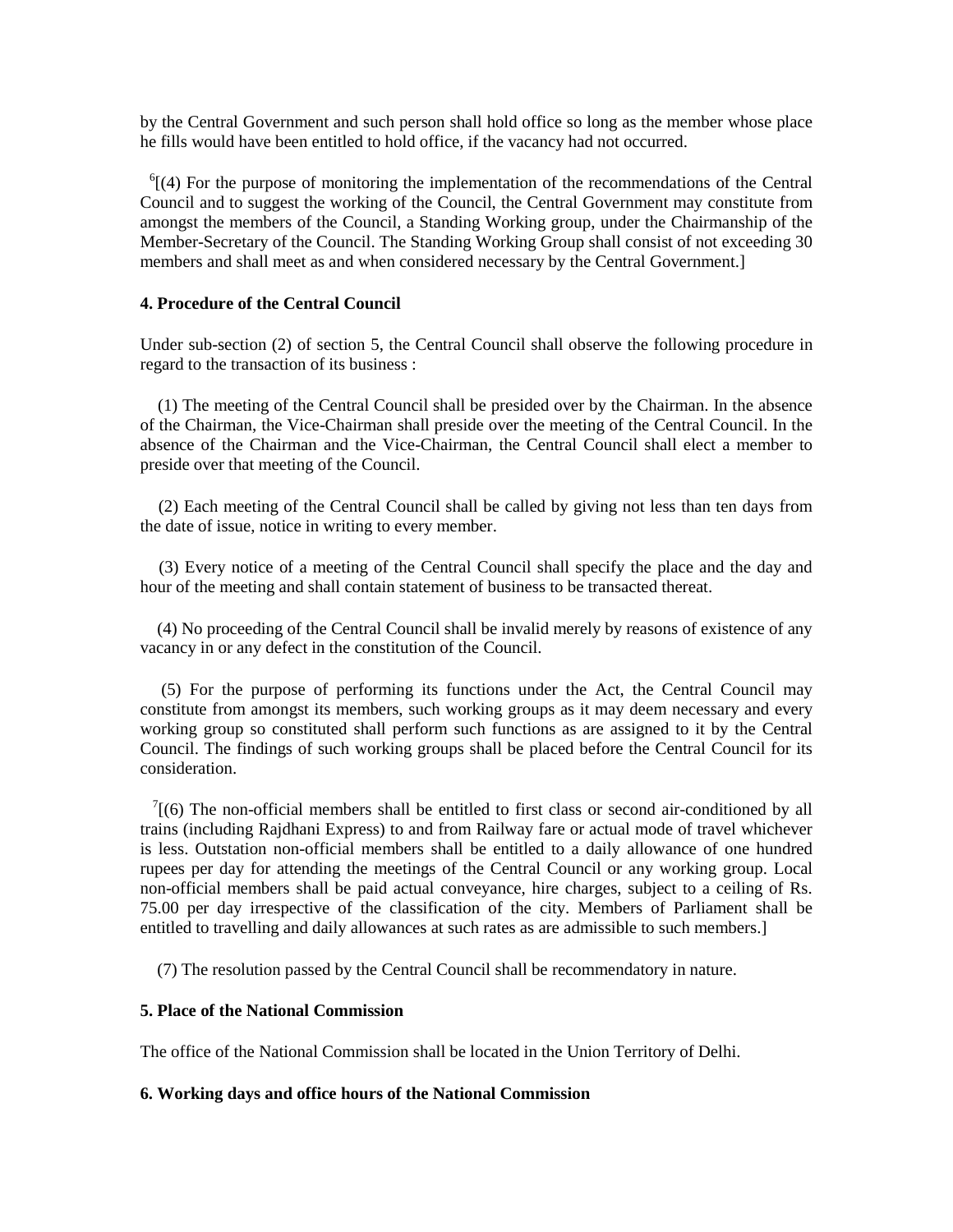by the Central Government and such person shall hold office so long as the member whose place he fills would have been entitled to hold office, if the vacancy had not occurred.

 $<sup>6</sup>[(4)$  For the purpose of monitoring the implementation of the recommendations of the Central</sup> Council and to suggest the working of the Council, the Central Government may constitute from amongst the members of the Council, a Standing Working group, under the Chairmanship of the Member-Secretary of the Council. The Standing Working Group shall consist of not exceeding 30 members and shall meet as and when considered necessary by the Central Government.]

### **4. Procedure of the Central Council**

Under sub-section (2) of section 5, the Central Council shall observe the following procedure in regard to the transaction of its business :

 (1) The meeting of the Central Council shall be presided over by the Chairman. In the absence of the Chairman, the Vice-Chairman shall preside over the meeting of the Central Council. In the absence of the Chairman and the Vice-Chairman, the Central Council shall elect a member to preside over that meeting of the Council.

 (2) Each meeting of the Central Council shall be called by giving not less than ten days from the date of issue, notice in writing to every member.

 (3) Every notice of a meeting of the Central Council shall specify the place and the day and hour of the meeting and shall contain statement of business to be transacted thereat.

 (4) No proceeding of the Central Council shall be invalid merely by reasons of existence of any vacancy in or any defect in the constitution of the Council.

 (5) For the purpose of performing its functions under the Act, the Central Council may constitute from amongst its members, such working groups as it may deem necessary and every working group so constituted shall perform such functions as are assigned to it by the Central Council. The findings of such working groups shall be placed before the Central Council for its consideration.

 $\frac{7}{10}$  The non-official members shall be entitled to first class or second air-conditioned by all trains (including Rajdhani Express) to and from Railway fare or actual mode of travel whichever is less. Outstation non-official members shall be entitled to a daily allowance of one hundred rupees per day for attending the meetings of the Central Council or any working group. Local non-official members shall be paid actual conveyance, hire charges, subject to a ceiling of Rs. 75.00 per day irrespective of the classification of the city. Members of Parliament shall be entitled to travelling and daily allowances at such rates as are admissible to such members.]

(7) The resolution passed by the Central Council shall be recommendatory in nature.

# **5. Place of the National Commission**

The office of the National Commission shall be located in the Union Territory of Delhi.

# **6. Working days and office hours of the National Commission**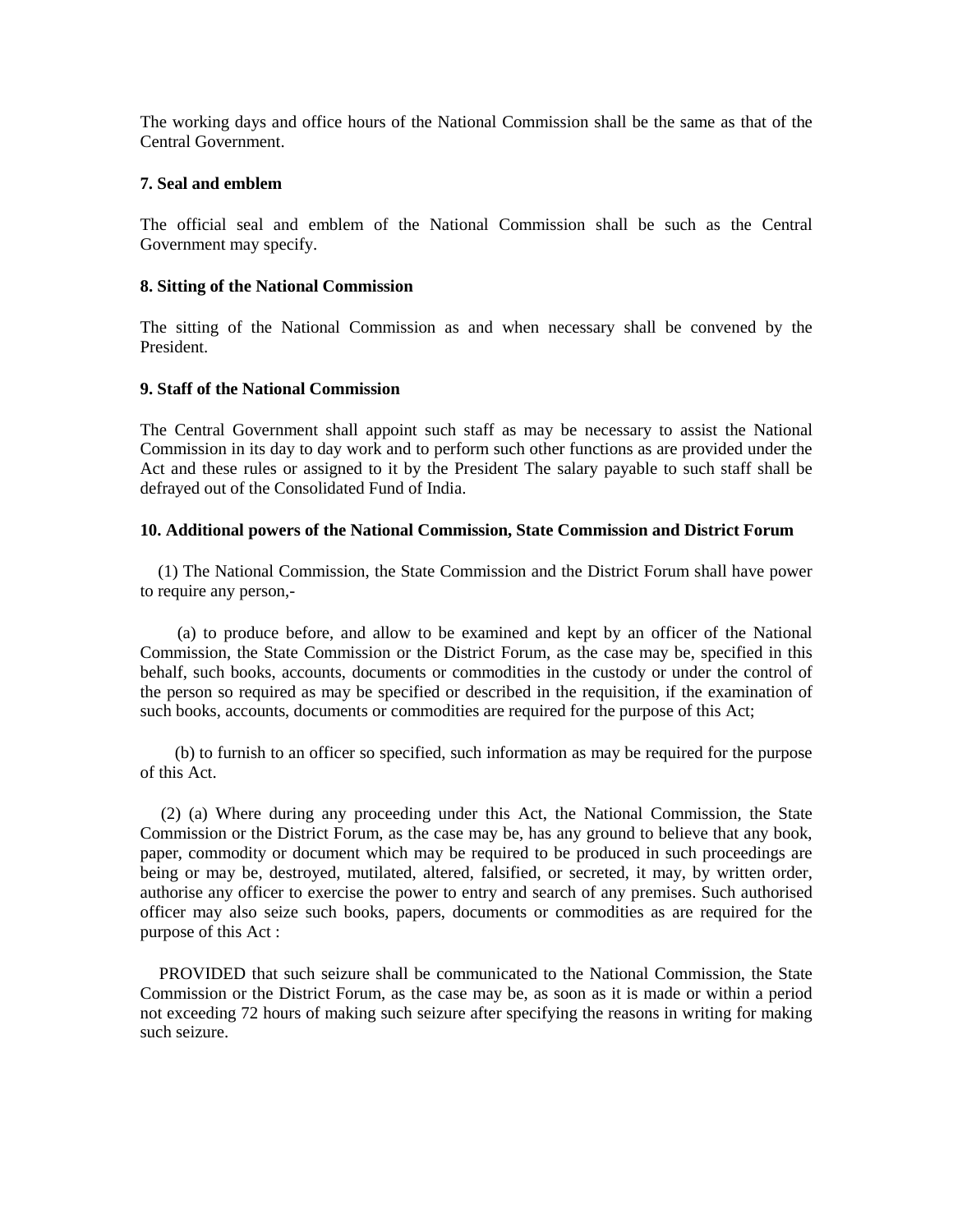The working days and office hours of the National Commission shall be the same as that of the Central Government.

## **7. Seal and emblem**

The official seal and emblem of the National Commission shall be such as the Central Government may specify.

## **8. Sitting of the National Commission**

The sitting of the National Commission as and when necessary shall be convened by the President.

# **9. Staff of the National Commission**

The Central Government shall appoint such staff as may be necessary to assist the National Commission in its day to day work and to perform such other functions as are provided under the Act and these rules or assigned to it by the President The salary payable to such staff shall be defrayed out of the Consolidated Fund of India.

# **10. Additional powers of the National Commission, State Commission and District Forum**

 (1) The National Commission, the State Commission and the District Forum shall have power to require any person,-

 (a) to produce before, and allow to be examined and kept by an officer of the National Commission, the State Commission or the District Forum, as the case may be, specified in this behalf, such books, accounts, documents or commodities in the custody or under the control of the person so required as may be specified or described in the requisition, if the examination of such books, accounts, documents or commodities are required for the purpose of this Act;

 (b) to furnish to an officer so specified, such information as may be required for the purpose of this Act.

 (2) (a) Where during any proceeding under this Act, the National Commission, the State Commission or the District Forum, as the case may be, has any ground to believe that any book, paper, commodity or document which may be required to be produced in such proceedings are being or may be, destroyed, mutilated, altered, falsified, or secreted, it may, by written order, authorise any officer to exercise the power to entry and search of any premises. Such authorised officer may also seize such books, papers, documents or commodities as are required for the purpose of this Act :

 PROVIDED that such seizure shall be communicated to the National Commission, the State Commission or the District Forum, as the case may be, as soon as it is made or within a period not exceeding 72 hours of making such seizure after specifying the reasons in writing for making such seizure.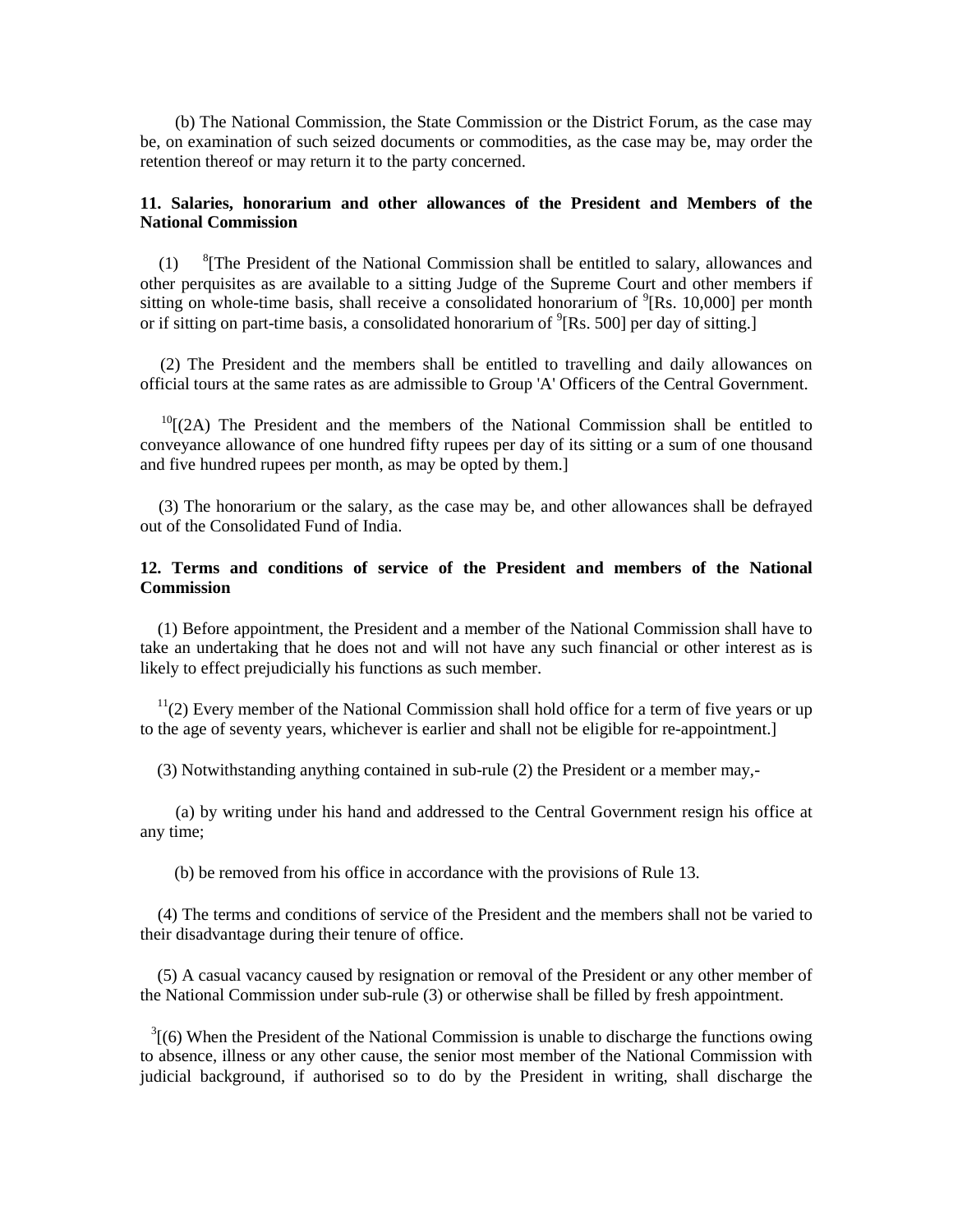(b) The National Commission, the State Commission or the District Forum, as the case may be, on examination of such seized documents or commodities, as the case may be, may order the retention thereof or may return it to the party concerned.

### **11. Salaries, honorarium and other allowances of the President and Members of the National Commission**

 $(1)$  ${}^8$ [The President of the National Commission shall be entitled to salary, allowances and other perquisites as are available to a sitting Judge of the Supreme Court and other members if sitting on whole-time basis, shall receive a consolidated honorarium of  $\rm{P}(Rs. 10,000$  per month or if sitting on part-time basis, a consolidated honorarium of  $\rm{P}(Rs. 500$  per day of sitting.

 (2) The President and the members shall be entitled to travelling and daily allowances on official tours at the same rates as are admissible to Group 'A' Officers of the Central Government.

 $10$ <sup>[(2A)</sup> The President and the members of the National Commission shall be entitled to conveyance allowance of one hundred fifty rupees per day of its sitting or a sum of one thousand and five hundred rupees per month, as may be opted by them.]

 (3) The honorarium or the salary, as the case may be, and other allowances shall be defrayed out of the Consolidated Fund of India.

# **12. Terms and conditions of service of the President and members of the National Commission**

 (1) Before appointment, the President and a member of the National Commission shall have to take an undertaking that he does not and will not have any such financial or other interest as is likely to effect prejudicially his functions as such member.

 $11(2)$  Every member of the National Commission shall hold office for a term of five years or up to the age of seventy years, whichever is earlier and shall not be eligible for re-appointment.]

(3) Notwithstanding anything contained in sub-rule (2) the President or a member may,-

 (a) by writing under his hand and addressed to the Central Government resign his office at any time;

(b) be removed from his office in accordance with the provisions of Rule 13.

 (4) The terms and conditions of service of the President and the members shall not be varied to their disadvantage during their tenure of office.

 (5) A casual vacancy caused by resignation or removal of the President or any other member of the National Commission under sub-rule (3) or otherwise shall be filled by fresh appointment.

 $3(6)$  When the President of the National Commission is unable to discharge the functions owing to absence, illness or any other cause, the senior most member of the National Commission with judicial background, if authorised so to do by the President in writing, shall discharge the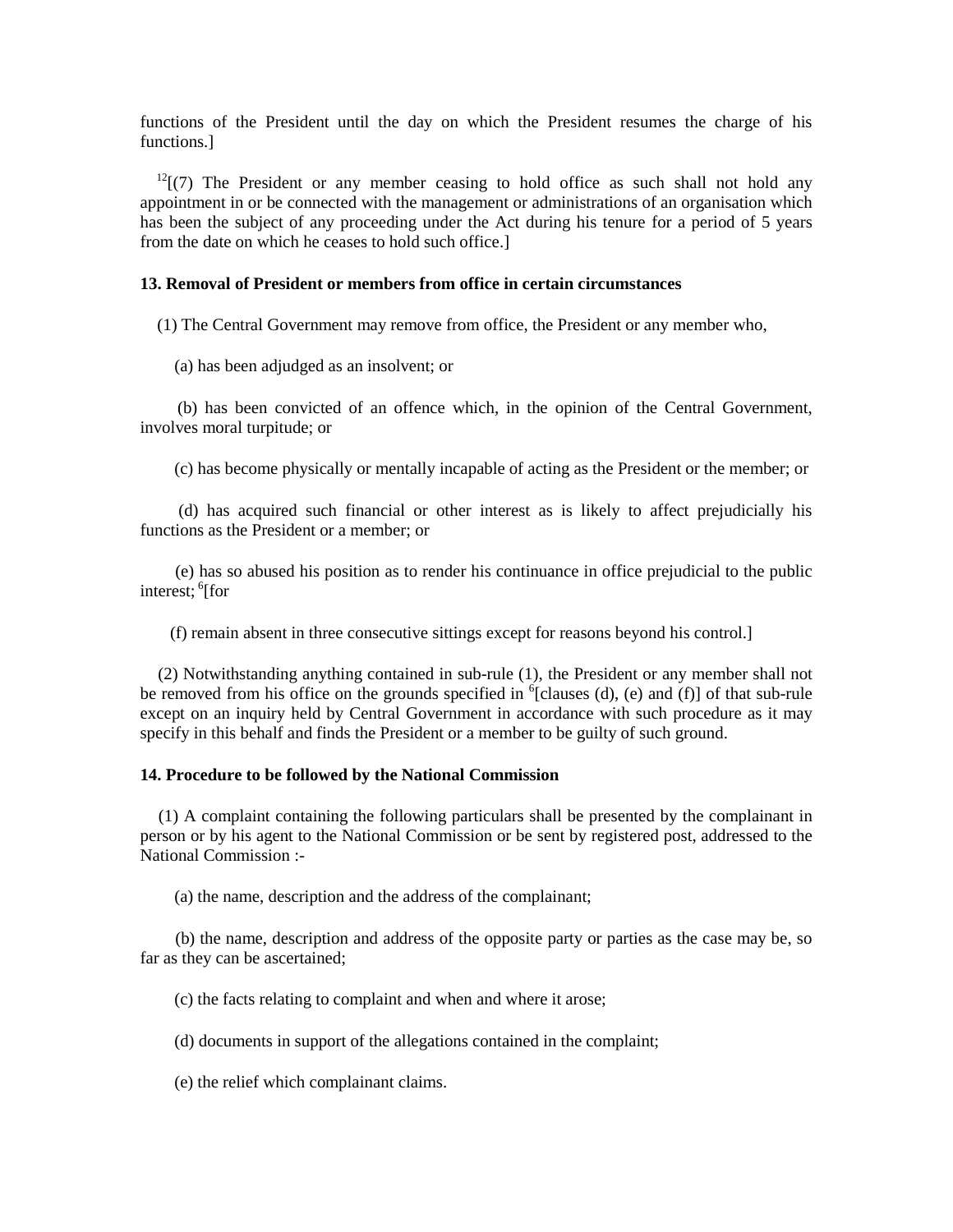functions of the President until the day on which the President resumes the charge of his functions.]

 $12$ [(7) The President or any member ceasing to hold office as such shall not hold any appointment in or be connected with the management or administrations of an organisation which has been the subject of any proceeding under the Act during his tenure for a period of 5 years from the date on which he ceases to hold such office.]

## **13. Removal of President or members from office in certain circumstances**

(1) The Central Government may remove from office, the President or any member who,

(a) has been adjudged as an insolvent; or

 (b) has been convicted of an offence which, in the opinion of the Central Government, involves moral turpitude; or

(c) has become physically or mentally incapable of acting as the President or the member; or

 (d) has acquired such financial or other interest as is likely to affect prejudicially his functions as the President or a member; or

 (e) has so abused his position as to render his continuance in office prejudicial to the public interest; <sup>6</sup>[for

(f) remain absent in three consecutive sittings except for reasons beyond his control.]

 (2) Notwithstanding anything contained in sub-rule (1), the President or any member shall not be removed from his office on the grounds specified in  ${}^{6}$ [clauses (d), (e) and (f)] of that sub-rule except on an inquiry held by Central Government in accordance with such procedure as it may specify in this behalf and finds the President or a member to be guilty of such ground.

### **14. Procedure to be followed by the National Commission**

 (1) A complaint containing the following particulars shall be presented by the complainant in person or by his agent to the National Commission or be sent by registered post, addressed to the National Commission :-

(a) the name, description and the address of the complainant;

 (b) the name, description and address of the opposite party or parties as the case may be, so far as they can be ascertained;

(c) the facts relating to complaint and when and where it arose;

(d) documents in support of the allegations contained in the complaint;

(e) the relief which complainant claims.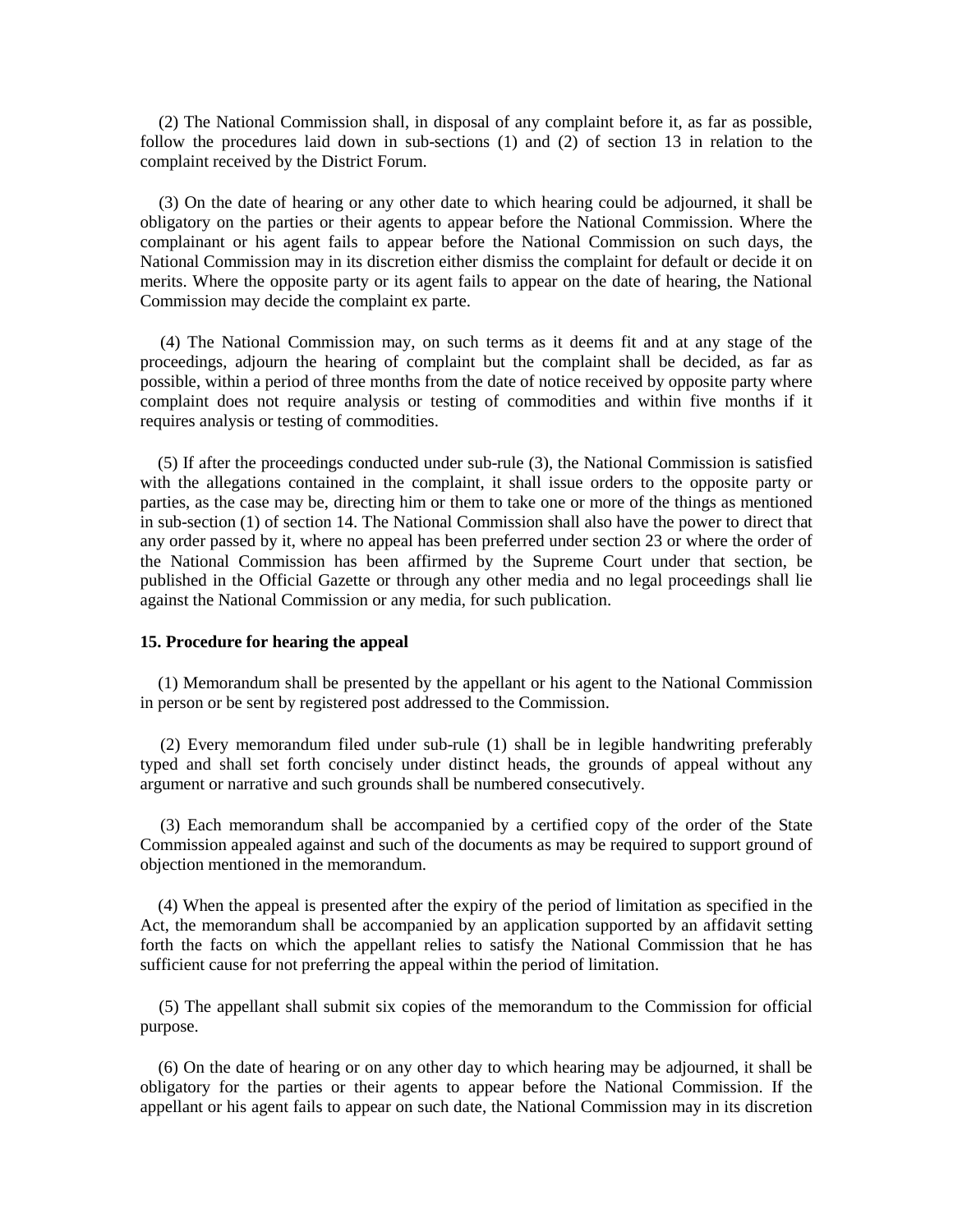(2) The National Commission shall, in disposal of any complaint before it, as far as possible, follow the procedures laid down in sub-sections (1) and (2) of section 13 in relation to the complaint received by the District Forum.

 (3) On the date of hearing or any other date to which hearing could be adjourned, it shall be obligatory on the parties or their agents to appear before the National Commission. Where the complainant or his agent fails to appear before the National Commission on such days, the National Commission may in its discretion either dismiss the complaint for default or decide it on merits. Where the opposite party or its agent fails to appear on the date of hearing, the National Commission may decide the complaint ex parte.

 (4) The National Commission may, on such terms as it deems fit and at any stage of the proceedings, adjourn the hearing of complaint but the complaint shall be decided, as far as possible, within a period of three months from the date of notice received by opposite party where complaint does not require analysis or testing of commodities and within five months if it requires analysis or testing of commodities.

 (5) If after the proceedings conducted under sub-rule (3), the National Commission is satisfied with the allegations contained in the complaint, it shall issue orders to the opposite party or parties, as the case may be, directing him or them to take one or more of the things as mentioned in sub-section (1) of section 14. The National Commission shall also have the power to direct that any order passed by it, where no appeal has been preferred under section 23 or where the order of the National Commission has been affirmed by the Supreme Court under that section, be published in the Official Gazette or through any other media and no legal proceedings shall lie against the National Commission or any media, for such publication.

# **15. Procedure for hearing the appeal**

 (1) Memorandum shall be presented by the appellant or his agent to the National Commission in person or be sent by registered post addressed to the Commission.

 (2) Every memorandum filed under sub-rule (1) shall be in legible handwriting preferably typed and shall set forth concisely under distinct heads, the grounds of appeal without any argument or narrative and such grounds shall be numbered consecutively.

 (3) Each memorandum shall be accompanied by a certified copy of the order of the State Commission appealed against and such of the documents as may be required to support ground of objection mentioned in the memorandum.

 (4) When the appeal is presented after the expiry of the period of limitation as specified in the Act, the memorandum shall be accompanied by an application supported by an affidavit setting forth the facts on which the appellant relies to satisfy the National Commission that he has sufficient cause for not preferring the appeal within the period of limitation.

 (5) The appellant shall submit six copies of the memorandum to the Commission for official purpose.

 (6) On the date of hearing or on any other day to which hearing may be adjourned, it shall be obligatory for the parties or their agents to appear before the National Commission. If the appellant or his agent fails to appear on such date, the National Commission may in its discretion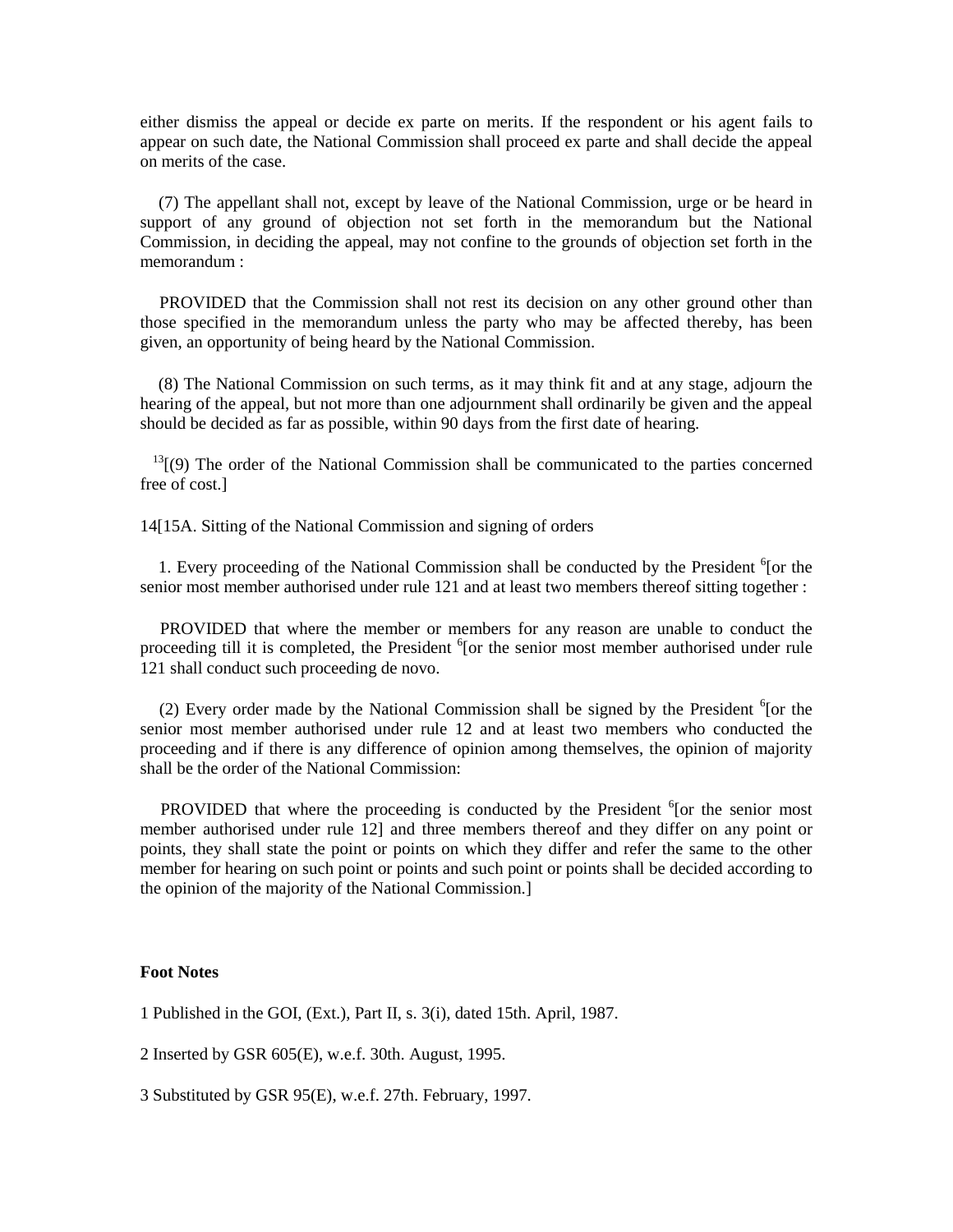either dismiss the appeal or decide ex parte on merits. If the respondent or his agent fails to appear on such date, the National Commission shall proceed ex parte and shall decide the appeal on merits of the case.

 (7) The appellant shall not, except by leave of the National Commission, urge or be heard in support of any ground of objection not set forth in the memorandum but the National Commission, in deciding the appeal, may not confine to the grounds of objection set forth in the memorandum :

 PROVIDED that the Commission shall not rest its decision on any other ground other than those specified in the memorandum unless the party who may be affected thereby, has been given, an opportunity of being heard by the National Commission.

 (8) The National Commission on such terms, as it may think fit and at any stage, adjourn the hearing of the appeal, but not more than one adjournment shall ordinarily be given and the appeal should be decided as far as possible, within 90 days from the first date of hearing.

 $13$ [(9) The order of the National Commission shall be communicated to the parties concerned free of cost.]

14[15A. Sitting of the National Commission and signing of orders

1. Every proceeding of the National Commission shall be conducted by the President <sup>6</sup>[or the senior most member authorised under rule 121 and at least two members thereof sitting together :

 PROVIDED that where the member or members for any reason are unable to conduct the proceeding till it is completed, the President <sup>6</sup>[or the senior most member authorised under rule 121 shall conduct such proceeding de novo.

(2) Every order made by the National Commission shall be signed by the President  $6$  [or the senior most member authorised under rule 12 and at least two members who conducted the proceeding and if there is any difference of opinion among themselves, the opinion of majority shall be the order of the National Commission:

PROVIDED that where the proceeding is conducted by the President  $6$  [or the senior most member authorised under rule 12] and three members thereof and they differ on any point or points, they shall state the point or points on which they differ and refer the same to the other member for hearing on such point or points and such point or points shall be decided according to the opinion of the majority of the National Commission.]

#### **Foot Notes**

1 Published in the GOI, (Ext.), Part II, s. 3(i), dated 15th. April, 1987.

2 Inserted by GSR 605(E), w.e.f. 30th. August, 1995.

3 Substituted by GSR 95(E), w.e.f. 27th. February, 1997.